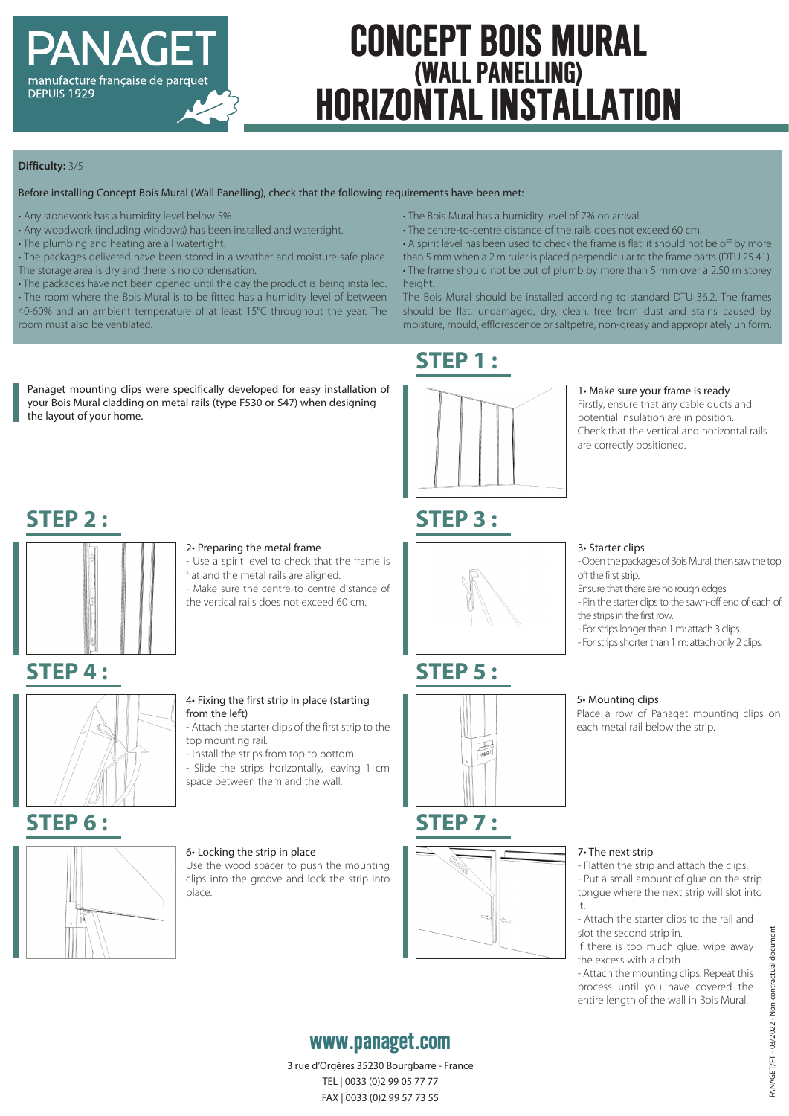

# **CONCEPT BOIS MURAL (WALL PANELLING) HORIZONTAL INSTALLATION**

#### **Difficulty:** 3/5

#### Before installing Concept Bois Mural (Wall Panelling), check that the following requirements have been met:

- Any stonework has a humidity level below 5%.
- Any woodwork (including windows) has been installed and watertight.
- The plumbing and heating are all watertight.
- The packages delivered have been stored in a weather and moisture-safe place.
- The storage area is dry and there is no condensation.
- The packages have not been opened until the day the product is being installed. • The room where the Bois Mural is to be fitted has a humidity level of between 40-60% and an ambient temperature of at least 15°C throughout the year. The room must also be ventilated.
- The Bois Mural has a humidity level of 7% on arrival.
- The centre-to-centre distance of the rails does not exceed 60 cm.
- A spirit level has been used to check the frame is flat; it should not be off by more than 5 mm when a 2 m ruler is placed perpendicular to the frame parts (DTU 25.41). • The frame should not be out of plumb by more than 5 mm over a 2.50 m storey height.

The Bois Mural should be installed according to standard DTU 36.2. The frames should be flat, undamaged, dry, clean, free from dust and stains caused by moisture, mould, efflorescence or saltpetre, non-greasy and appropriately uniform.

#### Panaget mounting clips were specifically developed for easy installation of your Bois Mural cladding on metal rails (type F530 or S47) when designing the layout of your home.

## **STEP 2 :**



#### 2• Preparing the metal frame

- Use a spirit level to check that the frame is flat and the metal rails are aligned.

- Make sure the centre-to-centre distance of the vertical rails does not exceed 60 cm.

## **STEP 4 :**



#### 4• Fixing the first strip in place (starting from the left)

- Attach the starter clips of the first strip to the top mounting rail.

- Install the strips from top to bottom.
- Slide the strips horizontally, leaving 1 cm space between them and the wall.

## **STEP 6 :**



### 6• Locking the strip in place

Use the wood spacer to push the mounting clips into the groove and lock the strip into place.



**STEP 3 :**

**STEP 1 :**

**STEP 5 :**



### 1• Make sure your frame is ready

Firstly, ensure that any cable ducts and potential insulation are in position. Check that the vertical and horizontal rails are correctly positioned.

#### 3• Starter clips

- Open the packages of Bois Mural, then saw the top off the first strip.

- Ensure that there are no rough edges.
- Pin the starter clips to the sawn-off end of each of the strips in the first row.
- For strips longer than 1 m: attach 3 clips.
- For strips shorter than 1 m: attach only 2 clips.

#### 5• Mounting clips

Place a row of Panaget mounting clips on each metal rail below the strip.

#### 7• The next strip

- Flatten the strip and attach the clips. - Put a small amount of glue on the strip tongue where the next strip will slot into it.

- Attach the starter clips to the rail and slot the second strip in.

If there is too much glue, wipe away the excess with a cloth.

- Attach the mounting clips. Repeat this process until you have covered the entire length of the wall in Bois Mural.

## **www.panaget.com**

3 rue d'Orgères 35230 Bourgbarré - France TEL | 0033 (0)2 99 05 77 77 FAX | 0033 (0)2 99 57 73 55